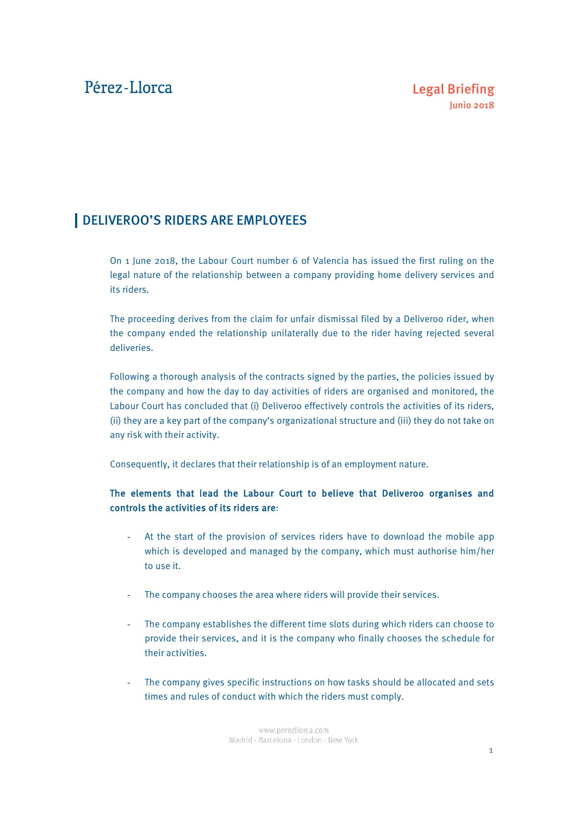# Pérez-Llorca

## DELIVEROO'S RIDERS ARE EMPLOYEES

On 1 June 2018, the Labour Court number 6 of Valencia has issued the first ruling on the legal nature of the relationship between a company providing home delivery services and its riders.

The proceeding derives from the claim for unfair dismissal filed by a Deliveroo rider, when the company ended the relationship unilaterally due to the rider having rejected several deliveries.

Following a thorough analysis of the contracts signed by the parties, the policies issued by the company and how the day to day activities of riders are organised and monitored, the Labour Court has concluded that (i) Deliveroo effectively controls the activities of its riders, (ii) they are a key part of the company's organizational structure and (iii) they do not take on any risk with their activity.

Consequently, it declares that their relationship is of an employment nature.

### The elements that lead the Labour Court to believe that Deliveroo organises and controls the activities of its riders are:

- At the start of the provision of services riders have to download the mobile app which is developed and managed by the company, which must authorise him/her to use it.
- The company chooses the area where riders will provide their services.
- The company establishes the different time slots during which riders can choose to provide their services, and it is the company who finally chooses the schedule for their activities.
- The company gives specific instructions on how tasks should be allocated and sets times and rules of conduct with which the riders must comply.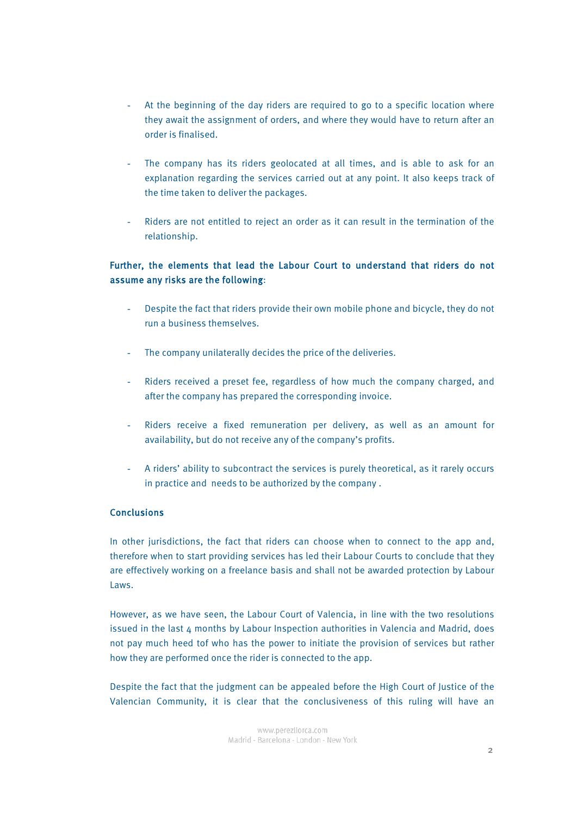- At the beginning of the day riders are required to go to a specific location where they await the assignment of orders, and where they would have to return after an order is finalised.
- The company has its riders geolocated at all times, and is able to ask for an explanation regarding the services carried out at any point. It also keeps track of the time taken to deliver the packages.
- Riders are not entitled to reject an order as it can result in the termination of the relationship.

### Further, the elements that lead the Labour Court to understand that riders do not assume any risks are the following:

- Despite the fact that riders provide their own mobile phone and bicycle, they do not run a business themselves.
- The company unilaterally decides the price of the deliveries.
- Riders received a preset fee, regardless of how much the company charged, and after the company has prepared the corresponding invoice.
- Riders receive a fixed remuneration per delivery, as well as an amount for availability, but do not receive any of the company's profits.
- A riders' ability to subcontract the services is purely theoretical, as it rarely occurs in practice and needs to be authorized by the company .

#### **Conclusions**

In other jurisdictions, the fact that riders can choose when to connect to the app and, therefore when to start providing services has led their Labour Courts to conclude that they are effectively working on a freelance basis and shall not be awarded protection by Labour Laws.

However, as we have seen, the Labour Court of Valencia, in line with the two resolutions issued in the last 4 months by Labour Inspection authorities in Valencia and Madrid, does not pay much heed tof who has the power to initiate the provision of services but rather how they are performed once the rider is connected to the app.

Despite the fact that the judgment can be appealed before the High Court of Justice of the Valencian Community, it is clear that the conclusiveness of this ruling will have an